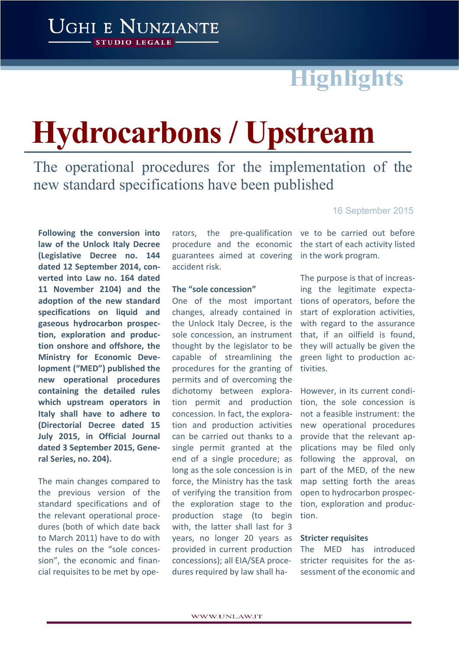## **Highlights**

# **Hydrocarbons / Upstream**

**UGHI E NUNZIANTE** STUDIO LEGALE

The operational procedures for the implementation of the new standard specifications have been published

**Following the conversion into law of the Unlock Italy Decree (Legislative Decree no. 144 dated 12 September 2014, converted into Law no. 164 dated 11 November 2104) and the adoption of the new standard specifications on liquid and gaseous hydrocarbon prospection, exploration and production onshore and offshore, the Ministry for Economic Development ("MED") published the new operational procedures containing the detailed rules which upstream operators in Italy shall have to adhere to (Directorial Decree dated 15 July 2015, in Official Journal dated 3 September 2015, General Series, no. 204).** 

The main changes compared to the previous version of the standard specifications and of the relevant operational procedures (both of which date back to March 2011) have to do with the rules on the "sole concession", the economic and financial requisites to be met by ope-

rators, the pre-qualification ve to be carried out before procedure and the economic the start of each activity listed guarantees aimed at covering in the work program. accident risk.

#### **The "sole concession"**

One of the most important changes, already contained in the Unlock Italy Decree, is the sole concession, an instrument thought by the legislator to be capable of streamlining the procedures for the granting of permits and of overcoming the dichotomy between exploration permit and production concession. In fact, the exploration and production activities can be carried out thanks to a single permit granted at the end of a single procedure; as long as the sole concession is in force, the Ministry has the task of verifying the transition from the exploration stage to the production stage (to begin with, the latter shall last for 3 years, no longer 20 years as provided in current production concessions); all EIA/SEA procedures required by law shall ha-

#### 16 September 2015

The purpose is that of increasing the legitimate expectations of operators, before the start of exploration activities, with regard to the assurance that, if an oilfield is found, they will actually be given the green light to production activities.

However, in its current condition, the sole concession is not a feasible instrument: the new operational procedures provide that the relevant applications may be filed only following the approval, on part of the MED, of the new map setting forth the areas open to hydrocarbon prospection, exploration and production.

#### **Stricter requisites**

The MED has introduced stricter requisites for the assessment of the economic and